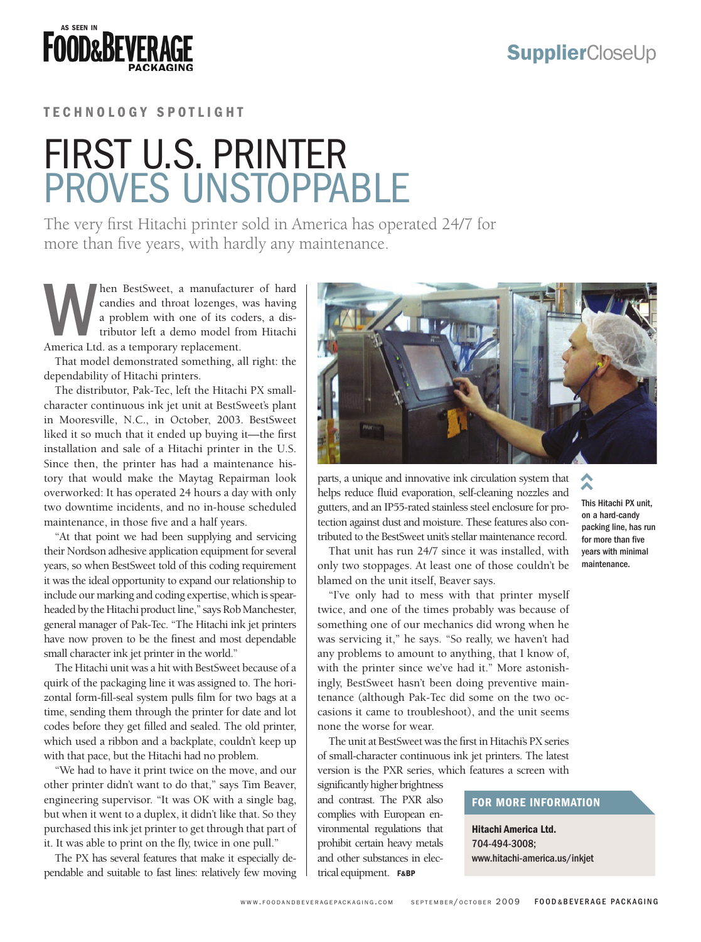**FOOD&BEVEI** 

### TECHNOLOGY SPOTLIGHT

## First U.S. printer proves unstoppable

The very first Hitachi printer sold in America has operated 24/7 for more than five years, with hardly any maintenance.

Men BestSweet, a manufacturer of hard candies and throat lozenges, was having a problem with one of its coders, a distributor left a demo model from Hitachi America Ltd. as a temporary replacement. candies and throat lozenges, was having a problem with one of its coders, a distributor left a demo model from Hitachi America Ltd. as a temporary replacement.

That model demonstrated something, all right: the dependability of Hitachi printers.

The distributor, Pak-Tec, left the Hitachi PX smallcharacter continuous ink jet unit at BestSweet's plant in Mooresville, N.C., in October, 2003. BestSweet liked it so much that it ended up buying it—the first installation and sale of a Hitachi printer in the U.S. Since then, the printer has had a maintenance history that would make the Maytag Repairman look overworked: It has operated 24 hours a day with only two downtime incidents, and no in-house scheduled maintenance, in those five and a half years.

"At that point we had been supplying and servicing their Nordson adhesive application equipment for several years, so when BestSweet told of this coding requirement it was the ideal opportunity to expand our relationship to include our marking and coding expertise, which is spearheaded by the Hitachi product line," says Rob Manchester, general manager of Pak-Tec. "The Hitachi ink jet printers have now proven to be the finest and most dependable small character ink jet printer in the world."

The Hitachi unit was a hit with BestSweet because of a quirk of the packaging line it was assigned to. The horizontal form-fill-seal system pulls film for two bags at a time, sending them through the printer for date and lot codes before they get filled and sealed. The old printer, which used a ribbon and a backplate, couldn't keep up with that pace, but the Hitachi had no problem.

"We had to have it print twice on the move, and our other printer didn't want to do that," says Tim Beaver, engineering supervisor. "It was OK with a single bag, but when it went to a duplex, it didn't like that. So they purchased this ink jet printer to get through that part of it. It was able to print on the fly, twice in one pull."

The PX has several features that make it especially dependable and suitable to fast lines: relatively few moving



parts, a unique and innovative ink circulation system that helps reduce fluid evaporation, self-cleaning nozzles and gutters, and an IP55-rated stainless steel enclosure for protection against dust and moisture. These features also contributed to the BestSweet unit's stellar maintenance record.

That unit has run 24/7 since it was installed, with only two stoppages. At least one of those couldn't be blamed on the unit itself, Beaver says.

"I've only had to mess with that printer myself twice, and one of the times probably was because of something one of our mechanics did wrong when he was servicing it," he says. "So really, we haven't had any problems to amount to anything, that I know of, with the printer since we've had it." More astonishingly, BestSweet hasn't been doing preventive maintenance (although Pak-Tec did some on the two occasions it came to troubleshoot), and the unit seems none the worse for wear. circulation system that<br>f-cleaning nozzles and<br>steel enclosure for pro-<br>hese features also con-<br>paramintenance record. for<br>t was installed, with yea<br>says.<br>that printer myself<br>ably was because of<br>idid wrong when he<br>ally, we

The unit at BestSweet was the first in Hitachi's PX series of small-character continuous ink jet printers. The latest version is the PXR series, which features a screen with

significantly higher brightness and contrast. The PXR also complies with European environmental regulations that prohibit certain heavy metals and other substances in electrical equipment. F&BP

#### This Hitachi PX unit, on a hard-candy packing line, has run for more than five years with minimal maintenance.

#### For More Information

Hitachi America Ltd. 704-494-3008;